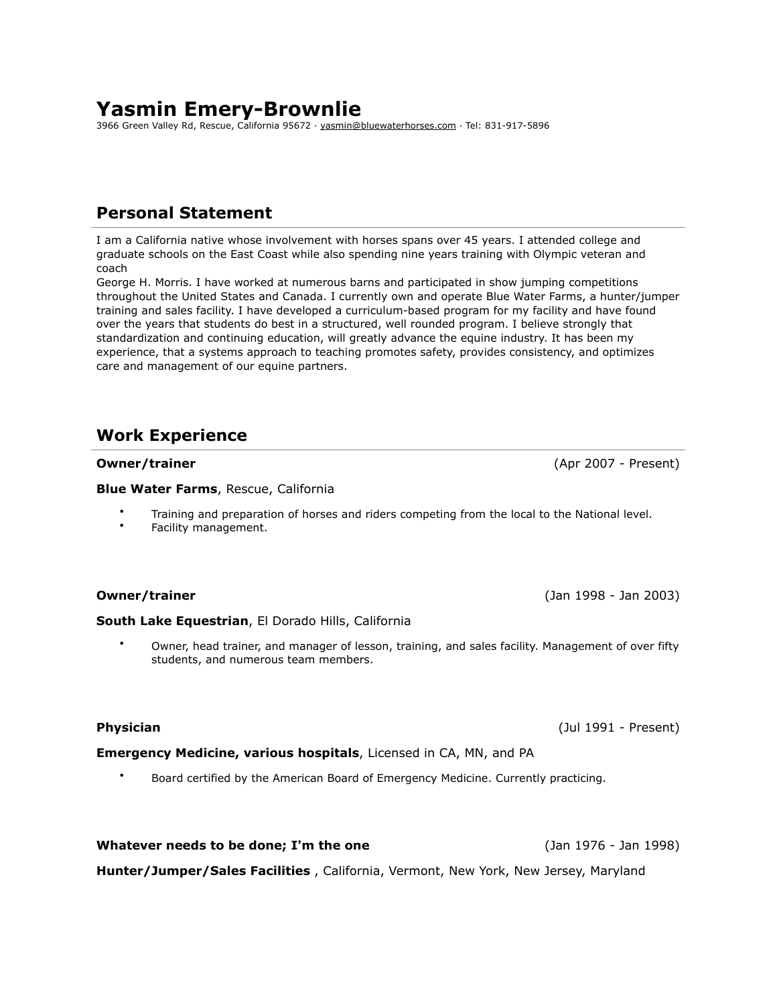# **Yasmin Emery-Brownlie**

3966 Green Valley Rd, Rescue, California 95672 · [yasmin@bluewaterhorses.com](mailto:yasmin@bluewaterhorses.com) · Tel: 831-917-5896

## **Personal Statement**

I am a California native whose involvement with horses spans over 45 years. I attended college and graduate schools on the East Coast while also spending nine years training with Olympic veteran and coach

George H. Morris. I have worked at numerous barns and participated in show jumping competitions throughout the United States and Canada. I currently own and operate Blue Water Farms, a hunter/jumper training and sales facility. I have developed a curriculum-based program for my facility and have found over the years that students do best in a structured, well rounded program. I believe strongly that standardization and continuing education, will greatly advance the equine industry. It has been my experience, that a systems approach to teaching promotes safety, provides consistency, and optimizes care and management of our equine partners.

## **Work Experience**

**Blue Water Farms**, Rescue, California

- Training and preparation of horses and riders competing from the local to the National level.
- Facility management.

### **Owner/trainer** (Jan 1998 - Jan 2003)

#### **South Lake Equestrian**, El Dorado Hills, California

• Owner, head trainer, and manager of lesson, training, and sales facility. Management of over fifty students, and numerous team members.

**Emergency Medicine, various hospitals**, Licensed in CA, MN, and PA

• Board certified by the American Board of Emergency Medicine. Currently practicing.

**Hunter/Jumper/Sales Facilities** , California, Vermont, New York, New Jersey, Maryland

**Whatever needs to be done; I'm the one** (Jan 1976 - Jan 1998)

**Physician** (Jul 1991 - Present)

**Owner/trainer** (Apr 2007 - Present)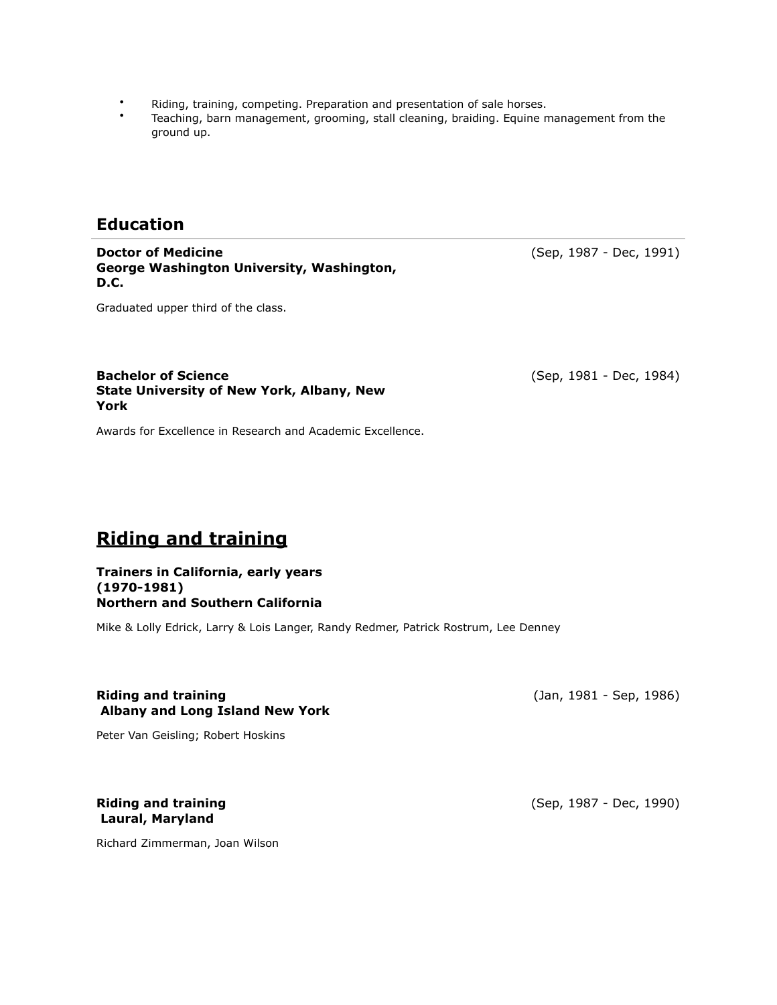- Riding, training, competing. Preparation and presentation of sale horses.
- Teaching, barn management, grooming, stall cleaning, braiding. Equine management from the ground up.

## **Education**

**Doctor of Medicine George Washington University, Washington, D.C.**

(Sep, 1987 - Dec, 1991)

Graduated upper third of the class.

#### **Bachelor of Science State University of New York, Albany, New York**

Awards for Excellence in Research and Academic Excellence.

# **Riding and training**

#### **Trainers in California, early years (1970-1981) Northern and Southern California**

Mike & Lolly Edrick, Larry & Lois Langer, Randy Redmer, Patrick Rostrum, Lee Denney

### **Riding and training Albany and Long Island New York**

(Jan, 1981 - Sep, 1986)

Peter Van Geisling; Robert Hoskins

### **Riding and training Laural, Maryland**

Richard Zimmerman, Joan Wilson

(Sep, 1987 - Dec, 1990)

(Sep, 1981 - Dec, 1984)